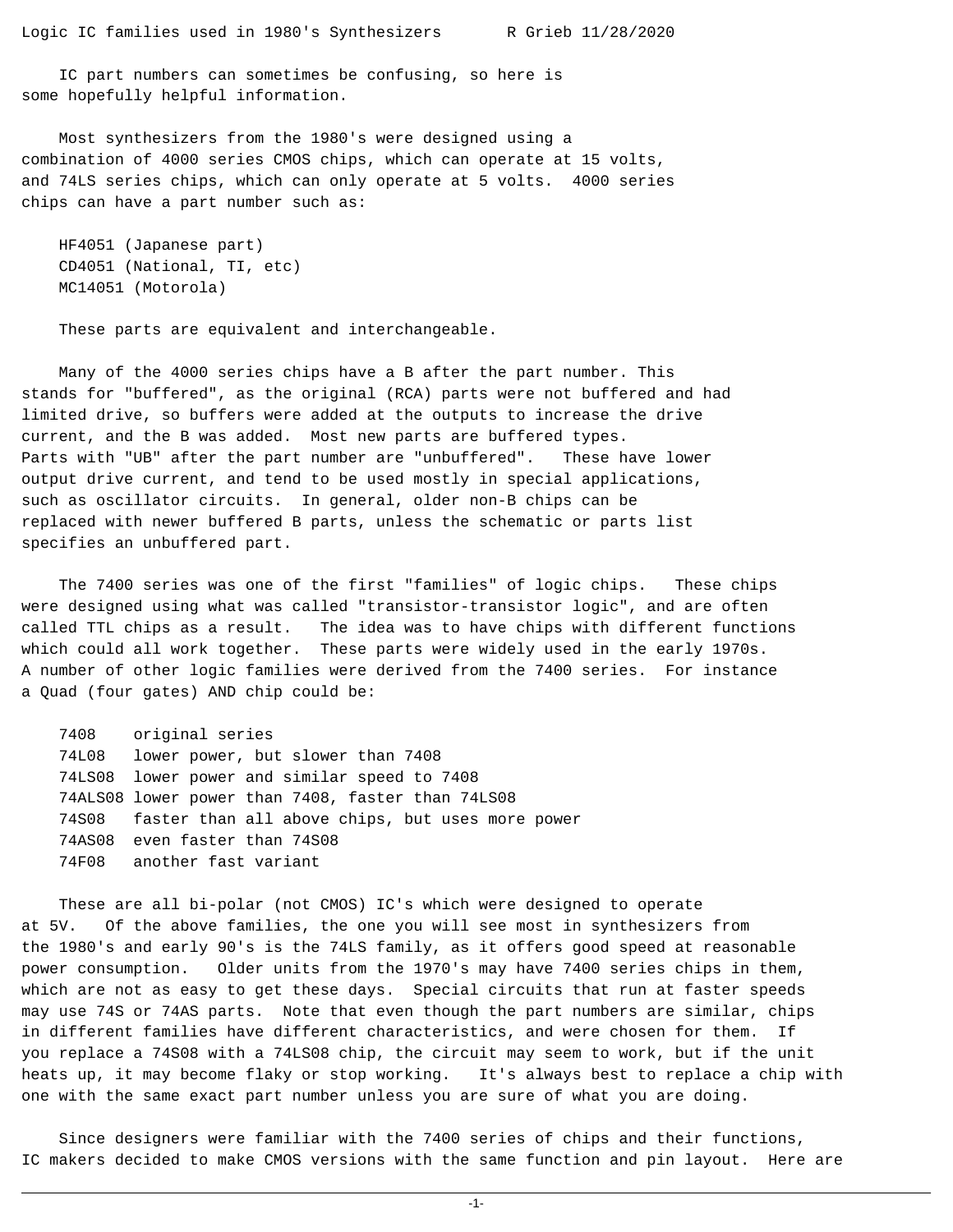IC part numbers can sometimes be confusing, so here is some hopefully helpful information.

Most synthesizers from the 1980's were designed using a combination of 4000 series CMOS chips, which can operate at 15 volts, and 74LS series chips, which can only operate at 5 volts. 4000 series chips can have a part number such as:

 HF4051 (Japanese part) CD4051 (National, TI, etc) MC14051 (Motorola)

These parts are equivalent and interchangeable.

Many of the 4000 series chips have a B after the part number. This stands for "buffered", as the original (RCA) parts were not buffered and had limited drive, so buffers were added at the outputs to increase the drive current, and the B was added. Most new parts are buffered types. Parts with "UB" after the part number are "unbuffered". These have lower output drive current, and tend to be used mostly in special applications, such as oscillator circuits. In general, older non-B chips can be replaced with newer buffered B parts, unless the schematic or parts list specifies an unbuffered part.

The 7400 series was one of the first "families" of logic chips. These chips were designed using what was called "transistor-transistor logic", and are often called TTL chips as a result. The idea was to have chips with different functions which could all work together. These parts were widely used in the early 1970s. A number of other logic families were derived from the 7400 series. For instance a Quad (four gates) AND chip could be:

7408 original series 74L08 lower power, but slower than 7408 74LS08 lower power and similar speed to 7408 74ALS08 lower power than 7408, faster than 74LS08 74S08 faster than all above chips, but uses more power 74AS08 even faster than 74S08 74F08 another fast variant

These are all bi-polar (not CMOS) IC's which were designed to operate at 5V. Of the above families, the one you will see most in synthesizers from the 1980's and early 90's is the 74LS family, as it offers good speed at reasonable power consumption. Older units from the 1970's may have 7400 series chips in them, which are not as easy to get these days. Special circuits that run at faster speeds may use 74S or 74AS parts. Note that even though the part numbers are similar, chips in different families have different characteristics, and were chosen for them. If you replace a 74S08 with a 74LS08 chip, the circuit may seem to work, but if the unit heats up, it may become flaky or stop working. It's always best to replace a chip with one with the same exact part number unless you are sure of what you are doing.

Since designers were familiar with the 7400 series of chips and their functions, IC makers decided to make CMOS versions with the same function and pin layout. Here are